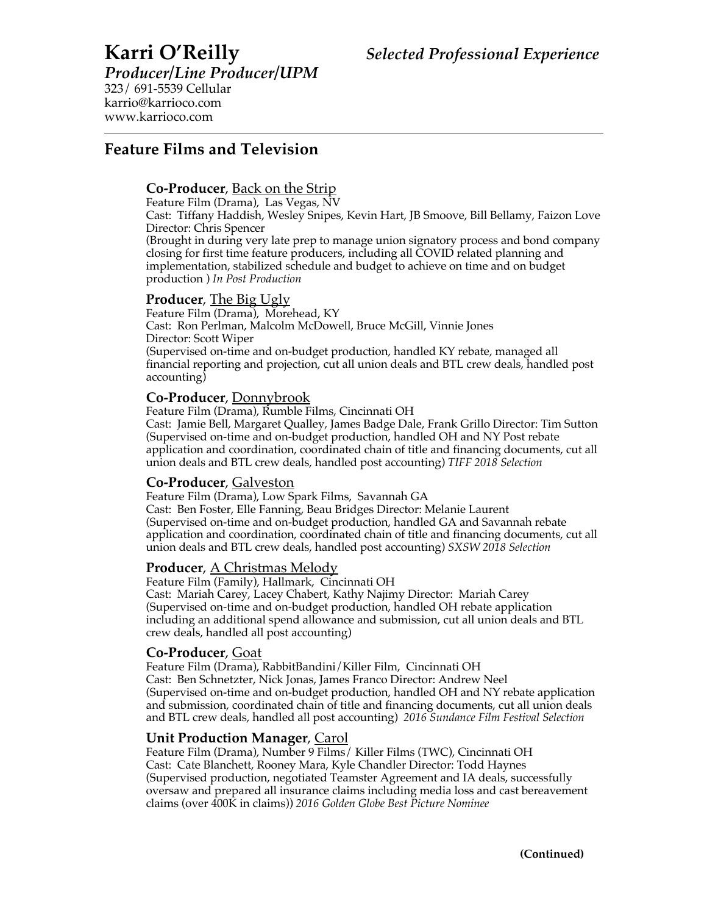*Producer/Line Producer/UPM* 323/ 691-5539 Cellular karrio@karrioco.com www.karrioco.com

# **Feature Films and Television**

# **Co-Producer**, Back on the Strip

Feature Film (Drama), Las Vegas, NV

Cast: Tiffany Haddish, Wesley Snipes, Kevin Hart, JB Smoove, Bill Bellamy, Faizon Love Director: Chris Spencer

(Brought in during very late prep to manage union signatory process and bond company closing for first time feature producers, including all COVID related planning and implementation, stabilized schedule and budget to achieve on time and on budget production ) *In Post Production*

# **Producer**, The Big Ugly

Feature Film (Drama), Morehead, KY Cast: Ron Perlman, Malcolm McDowell, Bruce McGill, Vinnie Jones Director: Scott Wiper (Supervised on-time and on-budget production, handled KY rebate, managed all financial reporting and projection, cut all union deals and BTL crew deals, handled post accounting)

# **Co-Producer**, Donnybrook

Feature Film (Drama), Rumble Films, Cincinnati OH Cast: Jamie Bell, Margaret Qualley, James Badge Dale, Frank Grillo Director: Tim Sutton (Supervised on-time and on-budget production, handled OH and NY Post rebate application and coordination, coordinated chain of title and financing documents, cut all union deals and BTL crew deals, handled post accounting) *TIFF 2018 Selection*

**Co-Producer**, Galveston<br>Feature Film (Drama), Low Spark Films, Savannah GA Cast: Ben Foster, Elle Fanning, Beau Bridges Director: Melanie Laurent (Supervised on-time and on-budget production, handled GA and Savannah rebate application and coordination, coordinated chain of title and financing documents, cut all union deals and BTL crew deals, handled post accounting) *SXSW 2018 Selection*

**Producer**, <u>A Christmas Melody</u><br>Feature Film (Family), Hallmark, Cincinnati OH Cast: Mariah Carey, Lacey Chabert, Kathy Najimy Director: Mariah Carey (Supervised on-time and on-budget production, handled OH rebate application including an additional spend allowance and submission, cut all union deals and BTL crew deals, handled all post accounting)

**Co-Producer**, <u>Goat</u><br>Feature Film (Drama), RabbitBandini/Killer Film, Cincinnati OH Cast: Ben Schnetzter, Nick Jonas, James Franco Director: Andrew Neel (Supervised on-time and on-budget production, handled OH and NY rebate application and submission, coordinated chain of title and financing documents, cut all union deals and BTL crew deals, handled all post accounting) *2016 Sundance Film Festival Selection*

**Unit Production Manager**, <u>Carol</u><br>Feature Film (Drama), Number 9 Films/ Killer Films (TWC), Cincinnati OH Cast: Cate Blanchett, Rooney Mara, Kyle Chandler Director: Todd Haynes (Supervised production, negotiated Teamster Agreement and IA deals, successfully oversaw and prepared all insurance claims including media loss and cast bereavement claims (over 400K in claims)) *2016 Golden Globe Best Picture Nominee*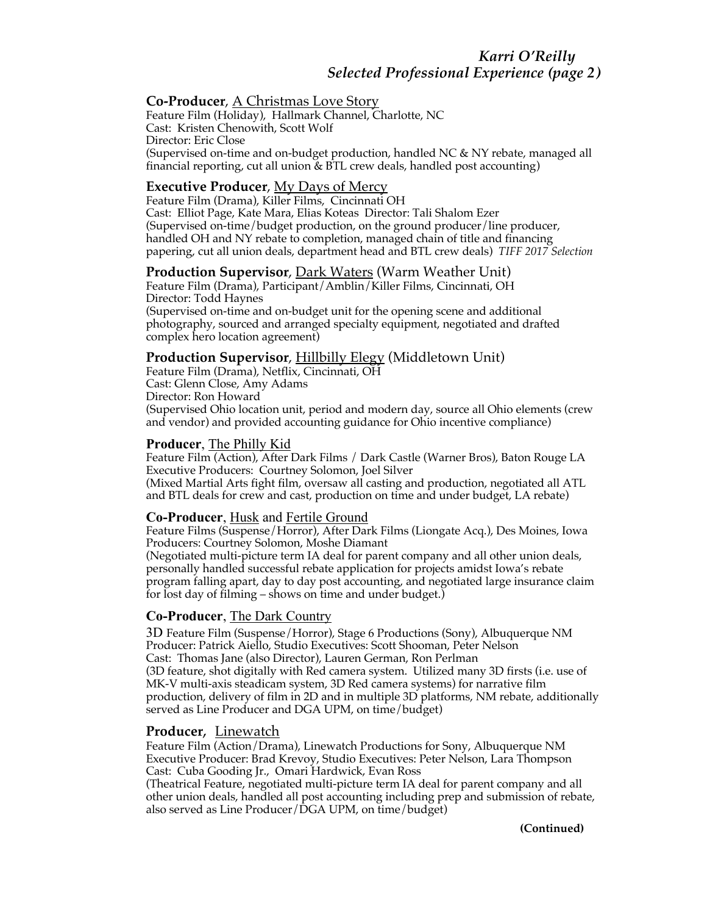## **Co-Producer**, A Christmas Love Story

Feature Film (Holiday), Hallmark Channel, Charlotte, NC Cast: Kristen Chenowith, Scott Wolf Director: Eric Close (Supervised on-time and on-budget production, handled NC & NY rebate, managed all financial reporting, cut all union  $\&$  BTL crew deals, handled post accounting)

## **Executive Producer**, My Days of Mercy

Feature Film (Drama), Killer Films, Cincinnati OH Cast: Elliot Page, Kate Mara, Elias Koteas Director: Tali Shalom Ezer (Supervised on-time/budget production, on the ground producer/line producer, handled OH and NY rebate to completion, managed chain of title and financing papering, cut all union deals, department head and BTL crew deals) *TIFF 2017 Selection*

### **Production Supervisor**, <u>Dark Waters</u> (Warm Weather Unit)

Feature Film (Drama), Participant/Amblin/Killer Films, Cincinnati, OH Director: Todd Haynes (Supervised on-time and on-budget unit for the opening scene and additional photography, sourced and arranged specialty equipment, negotiated and drafted

# **Production Supervisor**, Hillbilly Elegy (Middletown Unit)

Feature Film (Drama), Netflix, Cincinnati, OH Cast: Glenn Close, Amy Adams Director: Ron Howard (Supervised Ohio location unit, period and modern day, source all Ohio elements (crew and vendor) and provided accounting guidance for Ohio incentive compliance)

### **Producer**, The Philly Kid

complex hero location agreement)

Feature Film (Action), After Dark Films / Dark Castle (Warner Bros), Baton Rouge LA Executive Producers: Courtney Solomon, Joel Silver (Mixed Martial Arts fight film, oversaw all casting and production, negotiated all ATL and BTL deals for crew and cast, production on time and under budget, LA rebate)

### **Co-Producer**, Husk and Fertile Ground

Feature Films (Suspense/Horror), After Dark Films (Liongate Acq.), Des Moines, Iowa Producers: Courtney Solomon, Moshe Diamant

(Negotiated multi-picture term IA deal for parent company and all other union deals, personally handled successful rebate application for projects amidst Iowa's rebate program falling apart, day to day post accounting, and negotiated large insurance claim for lost day of filming – shows on time and under budget.)

# **Co-Producer**, The Dark Country

3D Feature Film (Suspense/Horror), Stage 6 Productions (Sony), Albuquerque NM Producer: Patrick Aiello, Studio Executives: Scott Shooman, Peter Nelson Cast: Thomas Jane (also Director), Lauren German, Ron Perlman (3D feature, shot digitally with Red camera system. Utilized many 3D firsts (i.e. use of MK-V multi-axis steadicam system, 3D Red camera systems) for narrative film production, delivery of film in 2D and in multiple 3D platforms, NM rebate, additionally served as Line Producer and DGA UPM, on time/budget)

# **Producer**, Linewatch

Feature Film (Action/Drama), Linewatch Productions for Sony, Albuquerque NM Executive Producer: Brad Krevoy, Studio Executives: Peter Nelson, Lara Thompson Cast: Cuba Gooding Jr., Omari Hardwick, Evan Ross

(Theatrical Feature, negotiated multi-picture term IA deal for parent company and all other union deals, handled all post accounting including prep and submission of rebate, also served as Line Producer/DGA UPM, on time/budget)

**(Continued)**